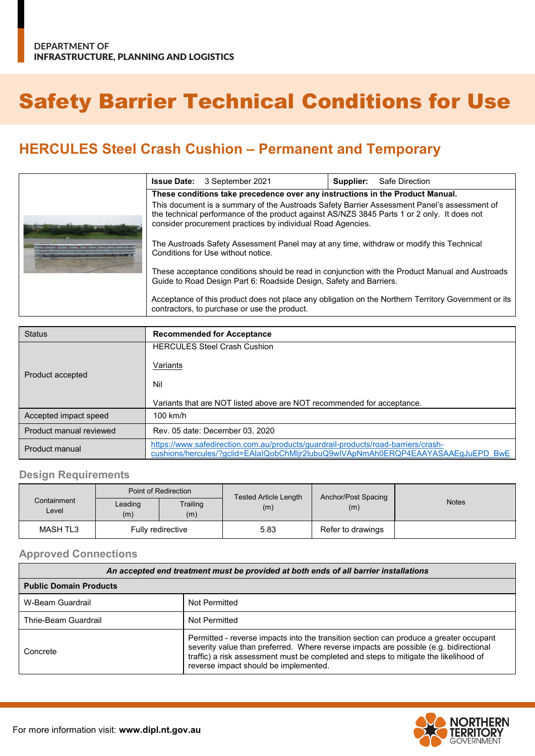# Safety Barrier Technical Conditions for Use

# **HERCULES Steel Crash Cushion – Permanent and Temporary**

|  | <b>Issue Date:</b> 3 September 2021                                                                                                                                                                                                                       |                                              | Supplier: | Safe Direction                                                                                       |  |  |  |  |  |  |
|--|-----------------------------------------------------------------------------------------------------------------------------------------------------------------------------------------------------------------------------------------------------------|----------------------------------------------|-----------|------------------------------------------------------------------------------------------------------|--|--|--|--|--|--|
|  | These conditions take precedence over any instructions in the Product Manual.                                                                                                                                                                             |                                              |           |                                                                                                      |  |  |  |  |  |  |
|  | This document is a summary of the Austroads Safety Barrier Assessment Panel's assessment of<br>the technical performance of the product against AS/NZS 3845 Parts 1 or 2 only. It does not<br>consider procurement practices by individual Road Agencies. |                                              |           |                                                                                                      |  |  |  |  |  |  |
|  | The Austroads Safety Assessment Panel may at any time, withdraw or modify this Technical<br>Conditions for Use without notice.                                                                                                                            |                                              |           |                                                                                                      |  |  |  |  |  |  |
|  | These acceptance conditions should be read in conjunction with the Product Manual and Austroads<br>Guide to Road Design Part 6: Roadside Design, Safety and Barriers.                                                                                     |                                              |           |                                                                                                      |  |  |  |  |  |  |
|  |                                                                                                                                                                                                                                                           | contractors, to purchase or use the product. |           | Acceptance of this product does not place any obligation on the Northern Territory Government or its |  |  |  |  |  |  |

| <b>Status</b>           | <b>Recommended for Acceptance</b>                                                                                                                                     |
|-------------------------|-----------------------------------------------------------------------------------------------------------------------------------------------------------------------|
|                         | <b>HERCULES Steel Crash Cushion</b>                                                                                                                                   |
|                         | <b>Variants</b>                                                                                                                                                       |
| Product accepted        | Nil                                                                                                                                                                   |
|                         | Variants that are NOT listed above are NOT recommended for acceptance.                                                                                                |
| Accepted impact speed   | $100$ km/h                                                                                                                                                            |
| Product manual reviewed | Rev. 05 date: December 03, 2020                                                                                                                                       |
| Product manual          | https://www.safedirection.com.au/products/quardrail-products/road-barriers/crash-<br>cushions/hercules/?gclid=EAIaIQobChMIjr2IubuQ9wIVApNmAh0ERQP4EAAYASAAEgJuEPD BwE |

#### **Design Requirements**

|                      |                | Point of Redirection | <b>Tested Article Length</b> | Anchor/Post Spacing |              |  |  |
|----------------------|----------------|----------------------|------------------------------|---------------------|--------------|--|--|
| Containment<br>Level | Leading<br>(m) | Trailing<br>(m)      | (m)                          | (m)                 | <b>Notes</b> |  |  |
| MASH TL3             |                | Fully redirective    | 5.83                         | Refer to drawings   |              |  |  |

#### **Approved Connections**

| An accepted end treatment must be provided at both ends of all barrier installations |                                                                                                                                                                                                                                                                                                                  |  |  |  |  |  |  |  |
|--------------------------------------------------------------------------------------|------------------------------------------------------------------------------------------------------------------------------------------------------------------------------------------------------------------------------------------------------------------------------------------------------------------|--|--|--|--|--|--|--|
| <b>Public Domain Products</b>                                                        |                                                                                                                                                                                                                                                                                                                  |  |  |  |  |  |  |  |
| W-Beam Guardrail                                                                     | Not Permitted                                                                                                                                                                                                                                                                                                    |  |  |  |  |  |  |  |
| Thrie-Beam Guardrail                                                                 | Not Permitted                                                                                                                                                                                                                                                                                                    |  |  |  |  |  |  |  |
| Concrete                                                                             | Permitted - reverse impacts into the transition section can produce a greater occupant<br>severity value than preferred. Where reverse impacts are possible (e.g. bidirectional<br>traffic) a risk assessment must be completed and steps to mitigate the likelihood of<br>reverse impact should be implemented. |  |  |  |  |  |  |  |